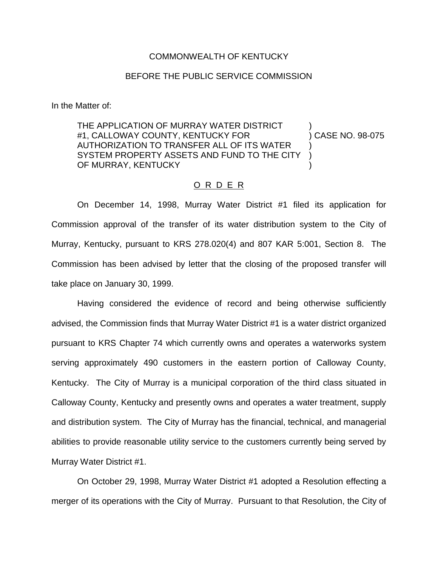## COMMONWEALTH OF KENTUCKY

## BEFORE THE PUBLIC SERVICE COMMISSION

In the Matter of:

THE APPLICATION OF MURRAY WATER DISTRICT #1, CALLOWAY COUNTY, KENTUCKY FOR (38-075) CASE NO. 98-075 AUTHORIZATION TO TRANSFER ALL OF ITS WATER ) SYSTEM PROPERTY ASSETS AND FUND TO THE CITY OF MURRAY, KENTUCKY

## O R D E R

On December 14, 1998, Murray Water District #1 filed its application for Commission approval of the transfer of its water distribution system to the City of Murray, Kentucky, pursuant to KRS 278.020(4) and 807 KAR 5:001, Section 8. The Commission has been advised by letter that the closing of the proposed transfer will take place on January 30, 1999.

Having considered the evidence of record and being otherwise sufficiently advised, the Commission finds that Murray Water District #1 is a water district organized pursuant to KRS Chapter 74 which currently owns and operates a waterworks system serving approximately 490 customers in the eastern portion of Calloway County, Kentucky. The City of Murray is a municipal corporation of the third class situated in Calloway County, Kentucky and presently owns and operates a water treatment, supply and distribution system. The City of Murray has the financial, technical, and managerial abilities to provide reasonable utility service to the customers currently being served by Murray Water District #1.

On October 29, 1998, Murray Water District #1 adopted a Resolution effecting a merger of its operations with the City of Murray. Pursuant to that Resolution, the City of